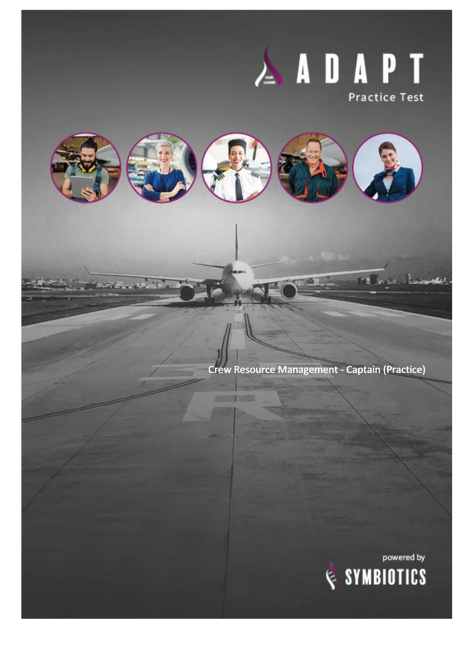## ADAPT **Practice Test**



Crew Resource Management - Captain (Practice)

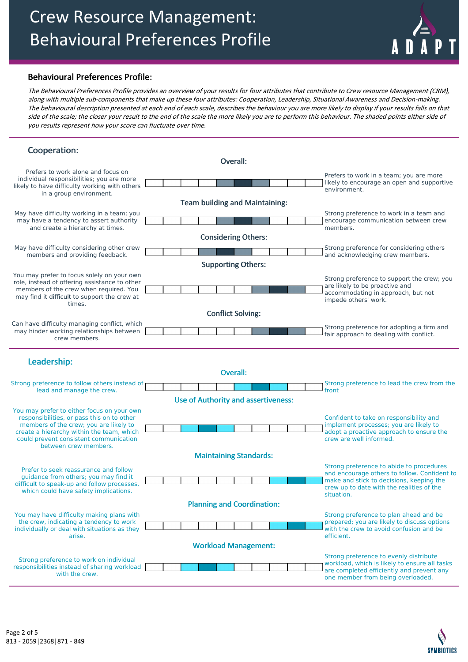## Crew Resource Management: Behavioural Preferences Profile



## Behavioural Preferences Profile:

The Behavioural Preferences Profile provides an overview of your results for four attributes that contribute to Crew resource Management (CRM), along with multiple sub-components that make up these four attributes: Cooperation, Leadership, Situational Awareness and Decision-making. The behavioural description presented at each end of each scale, describes the behaviour you are more likely to display if your results falls on that side of the scale; the closer your result to the end of the scale the more likely you are to perform this behaviour. The shaded points either side of you results represent how your score can fluctuate over time.

| Cooperation:                                                                                                                                                           |  |  |                                            |  |  |                                          |                                                                                                       |
|------------------------------------------------------------------------------------------------------------------------------------------------------------------------|--|--|--------------------------------------------|--|--|------------------------------------------|-------------------------------------------------------------------------------------------------------|
|                                                                                                                                                                        |  |  | Overall:                                   |  |  |                                          |                                                                                                       |
| Prefers to work alone and focus on<br>individual responsibilities; you are more<br>likely to have difficulty working with others                                       |  |  |                                            |  |  |                                          | Prefers to work in a team; you are more<br>likely to encourage an open and supportive<br>environment. |
| in a group environment.                                                                                                                                                |  |  |                                            |  |  |                                          |                                                                                                       |
|                                                                                                                                                                        |  |  | <b>Team building and Maintaining:</b>      |  |  |                                          |                                                                                                       |
| May have difficulty working in a team; you<br>may have a tendency to assert authority                                                                                  |  |  |                                            |  |  |                                          | Strong preference to work in a team and<br>encourage communication between crew                       |
| and create a hierarchy at times.                                                                                                                                       |  |  | <b>Considering Others:</b>                 |  |  |                                          | members.                                                                                              |
| May have difficulty considering other crew                                                                                                                             |  |  |                                            |  |  | Strong preference for considering others |                                                                                                       |
| members and providing feedback.                                                                                                                                        |  |  |                                            |  |  |                                          | and acknowledging crew members.                                                                       |
|                                                                                                                                                                        |  |  | <b>Supporting Others:</b>                  |  |  |                                          |                                                                                                       |
| You may prefer to focus solely on your own<br>role, instead of offering assistance to other                                                                            |  |  |                                            |  |  |                                          | Strong preference to support the crew; you                                                            |
| members of the crew when required. You                                                                                                                                 |  |  |                                            |  |  |                                          | are likely to be proactive and<br>accommodating in approach, but not                                  |
| may find it difficult to support the crew at<br>times.                                                                                                                 |  |  |                                            |  |  |                                          | impede others' work.                                                                                  |
|                                                                                                                                                                        |  |  | <b>Conflict Solving:</b>                   |  |  |                                          |                                                                                                       |
| Can have difficulty managing conflict, which                                                                                                                           |  |  |                                            |  |  |                                          | Strong preference for adopting a firm and                                                             |
| may hinder working relationships between<br>crew members.                                                                                                              |  |  |                                            |  |  |                                          | fair approach to dealing with conflict.                                                               |
| Leadership:                                                                                                                                                            |  |  |                                            |  |  |                                          |                                                                                                       |
|                                                                                                                                                                        |  |  | <b>Overall:</b>                            |  |  |                                          |                                                                                                       |
| Strong preference to follow others instead of                                                                                                                          |  |  |                                            |  |  |                                          | Strong preference to lead the crew from the                                                           |
| lead and manage the crew.                                                                                                                                              |  |  |                                            |  |  |                                          | front                                                                                                 |
|                                                                                                                                                                        |  |  | <b>Use of Authority and assertiveness:</b> |  |  |                                          |                                                                                                       |
| You may prefer to either focus on your own                                                                                                                             |  |  |                                            |  |  |                                          |                                                                                                       |
| responsibilities, or pass this on to other<br>members of the crew; you are likely to                                                                                   |  |  |                                            |  |  |                                          | Confident to take on responsibility and<br>implement processes; you are likely to                     |
| create a hierarchy within the team, which<br>could prevent consistent communication<br>between crew members.                                                           |  |  |                                            |  |  |                                          | adopt a proactive approach to ensure the<br>crew are well informed.                                   |
|                                                                                                                                                                        |  |  | <b>Maintaining Standards:</b>              |  |  |                                          |                                                                                                       |
| Prefer to seek reassurance and follow<br>quidance from others; you may find it<br>difficult to speak-up and follow processes,<br>which could have safety implications. |  |  |                                            |  |  |                                          | Strong preference to abide to procedures<br>and encourage others to follow. Confident to              |
|                                                                                                                                                                        |  |  |                                            |  |  |                                          | make and stick to decisions, keeping the<br>crew up to date with the realities of the                 |
|                                                                                                                                                                        |  |  | <b>Planning and Coordination:</b>          |  |  |                                          | situation.                                                                                            |
| You may have difficulty making plans with                                                                                                                              |  |  |                                            |  |  |                                          | Strong preference to plan ahead and be                                                                |
| the crew, indicating a tendency to work<br>individually or deal with situations as they<br>arise.                                                                      |  |  |                                            |  |  |                                          | prepared; you are likely to discuss options<br>with the crew to avoid confusion and be<br>efficient.  |
|                                                                                                                                                                        |  |  | <b>Workload Management:</b>                |  |  |                                          |                                                                                                       |
|                                                                                                                                                                        |  |  |                                            |  |  |                                          | Strong preference to evenly distribute                                                                |
| Strong preference to work on individual<br>responsibilities instead of sharing workload                                                                                |  |  |                                            |  |  |                                          | workload, which is likely to ensure all tasks                                                         |
| with the crew.                                                                                                                                                         |  |  |                                            |  |  |                                          | are completed efficiently and prevent any<br>one member from being overloaded.                        |

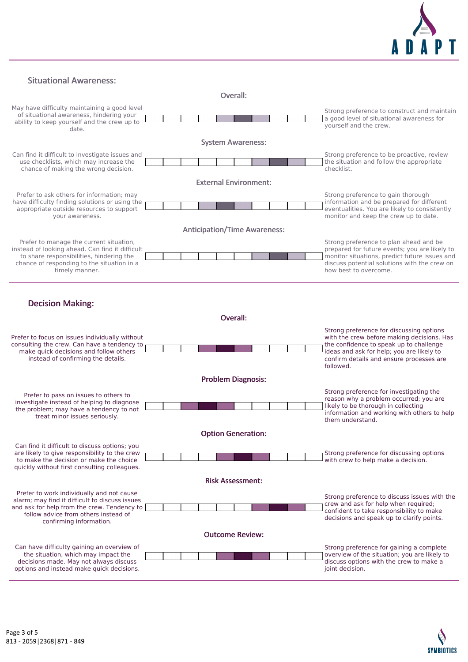

Situational Awareness:

Overall:



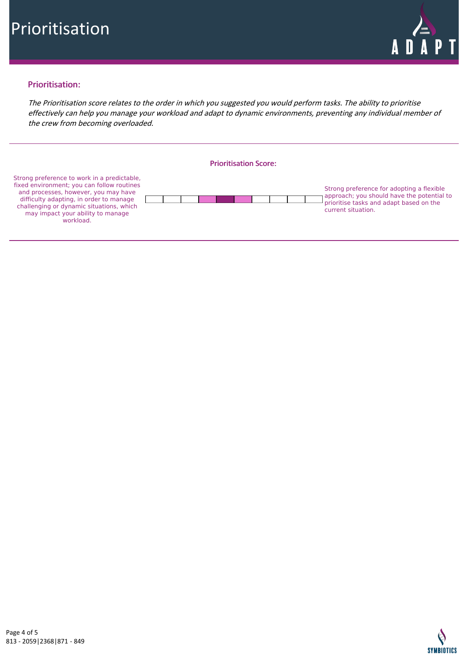

## Prioritisation:

The Prioritisation score relates to the order in which you suggested you would perform tasks. The ability to prioritise effectively can help you manage your workload and adapt to dynamic environments, preventing any individual member of the crew from becoming overloaded.